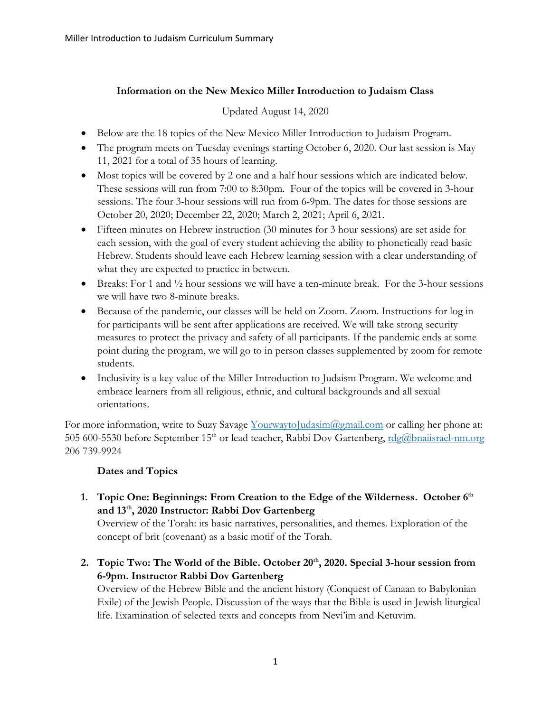## **Information on the New Mexico Miller Introduction to Judaism Class**

Updated August 14, 2020

- Below are the 18 topics of the New Mexico Miller Introduction to Judaism Program.
- The program meets on Tuesday evenings starting October 6, 2020. Our last session is May 11, 2021 for a total of 35 hours of learning.
- Most topics will be covered by 2 one and a half hour sessions which are indicated below. These sessions will run from 7:00 to 8:30pm. Four of the topics will be covered in 3-hour sessions. The four 3-hour sessions will run from 6-9pm. The dates for those sessions are October 20, 2020; December 22, 2020; March 2, 2021; April 6, 2021.
- Fifteen minutes on Hebrew instruction (30 minutes for 3 hour sessions) are set aside for each session, with the goal of every student achieving the ability to phonetically read basic Hebrew. Students should leave each Hebrew learning session with a clear understanding of what they are expected to practice in between.
- Breaks: For 1 and <sup>1</sup>/<sub>2</sub> hour sessions we will have a ten-minute break. For the 3-hour sessions we will have two 8-minute breaks.
- Because of the pandemic, our classes will be held on Zoom. Zoom. Instructions for log in for participants will be sent after applications are received. We will take strong security measures to protect the privacy and safety of all participants. If the pandemic ends at some point during the program, we will go to in person classes supplemented by zoom for remote students.
- Inclusivity is a key value of the Miller Introduction to Judaism Program. We welcome and embrace learners from all religious, ethnic, and cultural backgrounds and all sexual orientations.

For more information, write to Suzy Savage [YourwaytoJudasim@gmail.com](mailto:YourwaytoJudasim@gmail.com) or calling her phone at: 505 600-5530 before September 15<sup>th</sup> or lead teacher, Rabbi Dov Gartenberg, rdg@bnaiisrael-nm.org 206 739-9924

## **Dates and Topics**

**1. Topic One: Beginnings: From Creation to the Edge of the Wilderness. October 6th and 13th, 2020 Instructor: Rabbi Dov Gartenberg** 

Overview of the Torah: its basic narratives, personalities, and themes. Exploration of the concept of brit (covenant) as a basic motif of the Torah.

**2. Topic Two: The World of the Bible. October 20th, 2020. Special 3-hour session from 6-9pm. Instructor Rabbi Dov Gartenberg** 

Overview of the Hebrew Bible and the ancient history (Conquest of Canaan to Babylonian Exile) of the Jewish People. Discussion of the ways that the Bible is used in Jewish liturgical life. Examination of selected texts and concepts from Nevi'im and Ketuvim.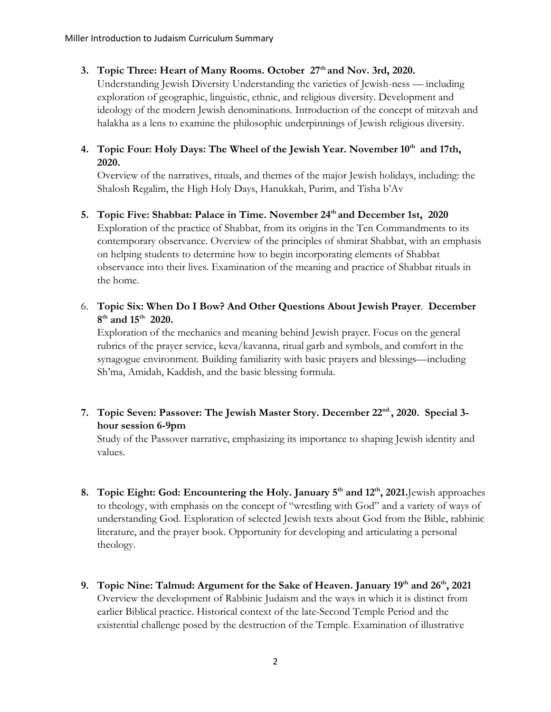## **3. Topic Three: Heart of Many Rooms. October 27th and Nov. 3rd, 2020.**

Understanding Jewish Diversity Understanding the varieties of Jewish-ness — including exploration of geographic, linguistic, ethnic, and religious diversity. Development and ideology of the modern Jewish denominations. Introduction of the concept of mitzvah and halakha as a lens to examine the philosophic underpinnings of Jewish religious diversity.

# **4. Topic Four: Holy Days: The Wheel of the Jewish Year. November 10th and 17th, 2020.**

Overview of the narratives, rituals, and themes of the major Jewish holidays, including: the Shalosh Regalim, the High Holy Days, Hanukkah, Purim, and Tisha b'Av

# **5. Topic Five: Shabbat: Palace in Time. November 24th and December 1st, 2020** Exploration of the practice of Shabbat, from its origins in the Ten Commandments to its contemporary observance. Overview of the principles of shmirat Shabbat, with an emphasis on helping students to determine how to begin incorporating elements of Shabbat observance into their lives. Examination of the meaning and practice of Shabbat rituals in the home.

6. **Topic Six: When Do I Bow? And Other Questions About Jewish Prayer**. **December 8 th and 15th 2020.**

Exploration of the mechanics and meaning behind Jewish prayer. Focus on the general rubrics of the prayer service, keva/kavanna, ritual garb and symbols, and comfort in the synagogue environment. Building familiarity with basic prayers and blessings—including Sh'ma, Amidah, Kaddish, and the basic blessing formula.

# **7. Topic Seven: Passover: The Jewish Master Story. December 22nd. , 2020. Special 3 hour session 6-9pm**

Study of the Passover narrative, emphasizing its importance to shaping Jewish identity and values.

- **8. Topic Eight: God: Encountering the Holy. January 5th and 12th, 2021.**Jewish approaches to theology, with emphasis on the concept of "wrestling with God" and a variety of ways of understanding God. Exploration of selected Jewish texts about God from the Bible, rabbinic literature, and the prayer book. Opportunity for developing and articulating a personal theology.
- **9. Topic Nine: Talmud: Argument for the Sake of Heaven. January 19th and 26th, 2021**  Overview the development of Rabbinic Judaism and the ways in which it is distinct from earlier Biblical practice. Historical context of the late-Second Temple Period and the existential challenge posed by the destruction of the Temple. Examination of illustrative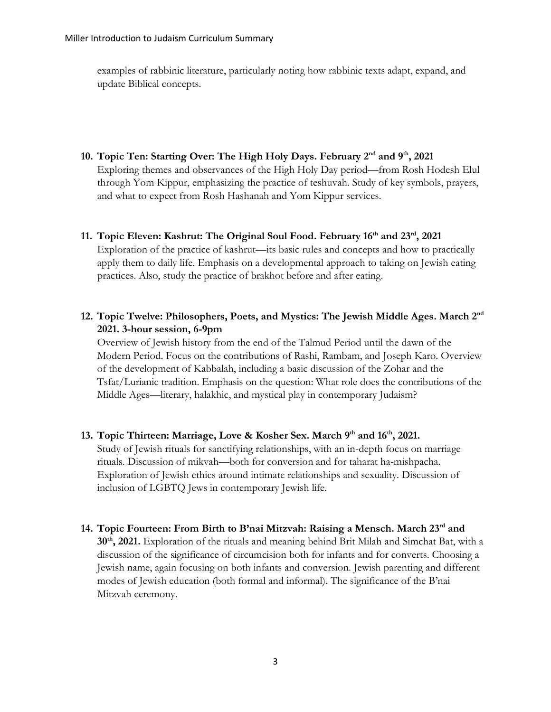examples of rabbinic literature, particularly noting how rabbinic texts adapt, expand, and update Biblical concepts.

- **10. Topic Ten: Starting Over: The High Holy Days. February 2nd and 9th, 2021**  Exploring themes and observances of the High Holy Day period—from Rosh Hodesh Elul through Yom Kippur, emphasizing the practice of teshuvah. Study of key symbols, prayers, and what to expect from Rosh Hashanah and Yom Kippur services.
- **11. Topic Eleven: Kashrut: The Original Soul Food. February 16th and 23rd, 2021**  Exploration of the practice of kashrut—its basic rules and concepts and how to practically apply them to daily life. Emphasis on a developmental approach to taking on Jewish eating practices. Also, study the practice of brakhot before and after eating.
- **12. Topic Twelve: Philosophers, Poets, and Mystics: The Jewish Middle Ages. March 2nd 2021. 3-hour session, 6-9pm**

Overview of Jewish history from the end of the Talmud Period until the dawn of the Modern Period. Focus on the contributions of Rashi, Rambam, and Joseph Karo. Overview of the development of Kabbalah, including a basic discussion of the Zohar and the Tsfat/Lurianic tradition. Emphasis on the question: What role does the contributions of the Middle Ages—literary, halakhic, and mystical play in contemporary Judaism?

- **13. Topic Thirteen: Marriage, Love & Kosher Sex. March 9th and 16th, 2021.**  Study of Jewish rituals for sanctifying relationships, with an in-depth focus on marriage rituals. Discussion of mikvah—both for conversion and for taharat ha-mishpacha. Exploration of Jewish ethics around intimate relationships and sexuality. Discussion of inclusion of LGBTQ Jews in contemporary Jewish life.
- **14. Topic Fourteen: From Birth to B'nai Mitzvah: Raising a Mensch. March 23rd and 30th, 2021.** Exploration of the rituals and meaning behind Brit Milah and Simchat Bat, with a discussion of the significance of circumcision both for infants and for converts. Choosing a Jewish name, again focusing on both infants and conversion. Jewish parenting and different modes of Jewish education (both formal and informal). The significance of the B'nai Mitzvah ceremony.